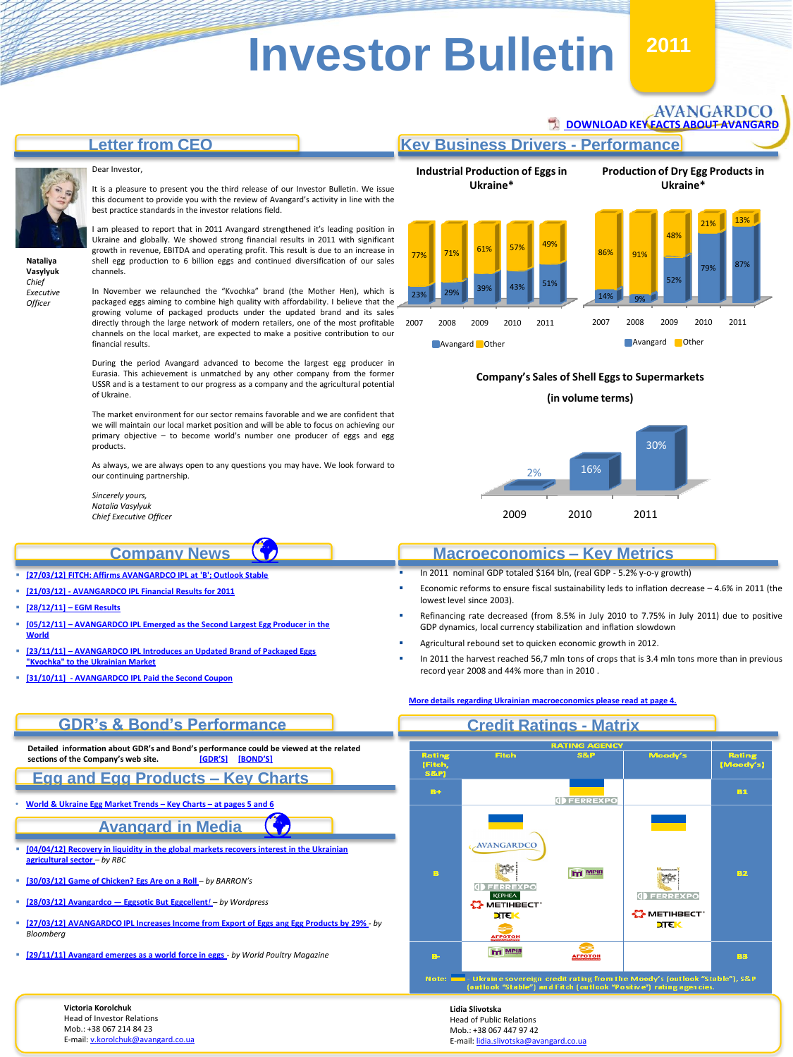## **Letter from CEO**

#### Dear Investor,



**Nataliya Vasylyuk** *Chief Executive Officer*

It is a pleasure to present you the third release of our Investor Bulletin. We issue this document to provide you with the review of Avangard's activity in line with the best practice standards in the investor relations field.

I am pleased to report that in 2011 Avangard strengthened it's leading position in Ukraine and globally. We showed strong financial results in 2011 with significant growth in revenue, EBITDA and operating profit. This result is due to an increase in shell egg production to 6 billion eggs and continued diversification of our sales channels.

In November we relaunched the "Kvochka" brand (the Mother Hen), which is packaged eggs aiming to combine high quality with affordability. I believe that the growing volume of packaged products under the updated brand and its sales directly through the large network of modern retailers, one of the most profitable channels on the local market, are expected to make a positive contribution to our financial results.

During the period Avangard advanced to become the largest egg producer in Eurasia. This achievement is unmatched by any other company from the former USSR and is a testament to our progress as a company and the agricultural potential of Ukraine.

The market environment for our sector remains favorable and we are confident that we will maintain our local market position and will be able to focus on achieving our primary objective – to become world's number one producer of eggs and egg products.

As always, we are always open to any questions you may have. We look forward to our continuing partnership.

 $\bigcirc$ 

*Sincerely yours, Natalia Vasylyuk Chief Executive Officer*

### **Company News**

- **[\[27/03/12\] FITCH: Affirms AVANGARDCO IPL at 'B'; Outlook Stable](http://avangard.co.ua/eng/press-centre/press-releases/e/year/2012/id/105/news_next/1/)**
- **[\[21/03/12\] -](http://avangard.co.ua/eng/press-centre/press-releases/e/year/2012/id/103/news_next/1/) [AVANGARDCO IPL Financial Results for 2011](http://avangard.co.ua/eng/press-centre/press-releases/e/year/2012/id/103/news_next/1/)**
- **[\[28/12/11\]](http://avangard.co.ua/eng/press-centre/press-releases/e/year/2011/id/96/news_next/1/) [–](http://avangard.co.ua/eng/press-centre/press-releases/e/year/2011/id/96/news_next/1/) [EGM Results](http://avangard.co.ua/eng/press-centre/press-releases/e/year/2011/id/96/news_next/1/)**
- **[\[05/12/11\]](http://avangard.co.ua/eng/press-centre/news/e/year/2011/id/93/news_next/1/) [–](http://avangard.co.ua/eng/press-centre/news/e/year/2011/id/93/news_next/1/) [AVANGARDCO IPL Emerged as the Second Largest Egg Producer in the](http://avangard.co.ua/eng/press-centre/news/e/year/2011/id/93/news_next/1/)  [World](http://avangard.co.ua/eng/press-centre/news/e/year/2011/id/93/news_next/1/)**
- **[\[23/11/11\]](http://avangard.co.ua/eng/press-centre/news/e/year/2011/id/91/news_next/1/) [–](http://avangard.co.ua/eng/press-centre/news/e/year/2011/id/91/news_next/1/) [AVANGARDCO IPL Introduces an Updated Brand of Packaged Eggs](http://avangard.co.ua/eng/press-centre/news/e/year/2011/id/91/news_next/1/)  ["Kvochka" to the Ukrainian Market](http://avangard.co.ua/eng/press-centre/news/e/year/2011/id/91/news_next/1/)**
- **[\[31/10/11\] -](http://avangard.co.ua/eng/press-centre/news/e/year/2011/id/88/news_next/1/) [AVANGARDCO IPL Paid the Second Coupon](http://avangard.co.ua/eng/press-centre/news/e/year/2011/id/88/news_next/1/)**

#### **Industrial Production of Eggs in Ukraine\* Production of Dry Egg Products in Ukraine\*** 2007 2008 2009 2010 2011 23% 29% 39% 43% 51% 77% 71% 61% 57% 49% **Avangard** Other 2007 2008 2009 2010 2011 14% 9% 52% 79% 87% 91% 48% 21% <sup>13%</sup> **Avangard Other**

**[DOWNLOAD KEY FACTS ABOUT AVANGARD](http://avangard.co.ua/files/site/Avangard_fact-sheet_2011_16_04_2012_Final.pdf)** 

AVANGARDCO

**Key Business Drivers - Performance**

#### **Company's Sales of Shell Eggs to Supermarkets**

**(in volume terms)**



### **Macroeconomics – Key Metrics**

In 2011 nominal GDP totaled \$164 bln, (real GDP - 5.2% y-o-y growth)

**Credit Ratings - Matrix**

**[More details regarding Ukrainian macroeconomics please read at page 4.](#page-2-0)**

- Economic reforms to ensure fiscal sustainability leds to inflation decrease 4.6% in 2011 (the lowest level since 2003).
- Refinancing rate decreased (from 8.5% in July 2010 to 7.75% in July 2011) due to positive GDP dynamics, local currency stabilization and inflation slowdown
- Agricultural rebound set to quicken economic growth in 2012.
- In 2011 the harvest reached 56,7 mln tons of crops that is 3.4 mln tons more than in previous record year 2008 and 44% more than in 2010 .

# **GDR's & Bond's Performance**

**Detailed information about GDR's and Bond's performance could be viewed at the related**   $S$  **sections of the Company's web site.** 

### **Egg and Egg Products – Key Charts**

• **[World](#page-3-0) [&](#page-3-0) [Ukraine](#page-3-0) [Egg](#page-3-0) [Market](#page-3-0) [Trends](#page-3-0) [–](#page-3-0) [Key](#page-3-0) [Charts](#page-3-0) [–](#page-3-0) [at](#page-3-0) [pages](#page-3-0) [5](#page-3-0) [and](#page-3-0) [6](#page-3-0)**

# **Avangard in Media**

- **[\[04/04/12\] Recovery in liquidity in the global markets recovers interest in the Ukrainian](http://www.rbc.ua/rus/newsline/show/vosstanovlenie-likvidnosti-na-mirovyh-rynkah-vosstanavlivaet-04042012173900)  [agricultural sector](http://www.rbc.ua/rus/newsline/show/vosstanovlenie-likvidnosti-na-mirovyh-rynkah-vosstanavlivaet-04042012173900)** *[–](http://www.rbc.ua/rus/newsline/show/vosstanovlenie-likvidnosti-na-mirovyh-rynkah-vosstanavlivaet-04042012173900) by RBC*
- **[\[30/03/12\] Game of Chicken? Egs](http://avangard.co.ua/eng/press-centre/about/e/year/2012/id/113/news_next/1/) [Are on a Roll](http://avangard.co.ua/eng/press-centre/about/e/year/2012/id/113/news_next/1/)** *– by BARRON's*

**Victoria Korolchuk** Head of Investor Relations Mob.: +38 067 214 84 23 E-mail: [v.korolchuk@avangard.co.ua](mailto:v.korolchuk@avangard.co.ua)

- **[\[28/03/12\] Avangardco](http://wexboy.wordpress.com/2012/03/28/avangardco-eggsotic-but-eggcellent/) [—](http://wexboy.wordpress.com/2012/03/28/avangardco-eggsotic-but-eggcellent/) [Eggsotic](http://wexboy.wordpress.com/2012/03/28/avangardco-eggsotic-but-eggcellent/) [But Eggcellent](http://wexboy.wordpress.com/2012/03/28/avangardco-eggsotic-but-eggcellent/)***[!](http://wexboy.wordpress.com/2012/03/28/avangardco-eggsotic-but-eggcellent/) – by Wordpress*
- **[\[27/03/12\] AVANGARDCO IPL Increases Income from Export of Eggs ang](http://origin-www.bloomberg.com/apps/news?pid=conewsstory&tkr=AVGR:LI&sid=aQvCBgJVKFjI) [Egg Products by 29%](http://origin-www.bloomberg.com/apps/news?pid=conewsstory&tkr=AVGR:LI&sid=aQvCBgJVKFjI)** *- by Bloomberg*
- **[\[29/11/11\] Avangard emerges as a world force in eggs](http://www.worldpoultry.net/background/avangard-emerges-as-a-world-force-in-eggs-9681.html)** *- by World Poultry Magazine*

Fitel Rating<br>IMoodv's) Fitch<br>S&P **Bay B.1 I**FERREXPO AVANGARDCO **ht** MPIA 82  $\mathbb{R}^n$ KEPHEA **O** FERREXPO **S METHBECT** METIHBECT **STEM**  $^{\text{m}}$ **IN MPIB** вз t rating fror<br>ch (outlook

 $\mathbf G$ 

**Lidia Slivotska** Head of Public Relations Mob.: +38 067 447 97 42 E-mail: [lidia.slivotska@avangard.co.ua](mailto:lidia.slivotska@avangard.co.ua)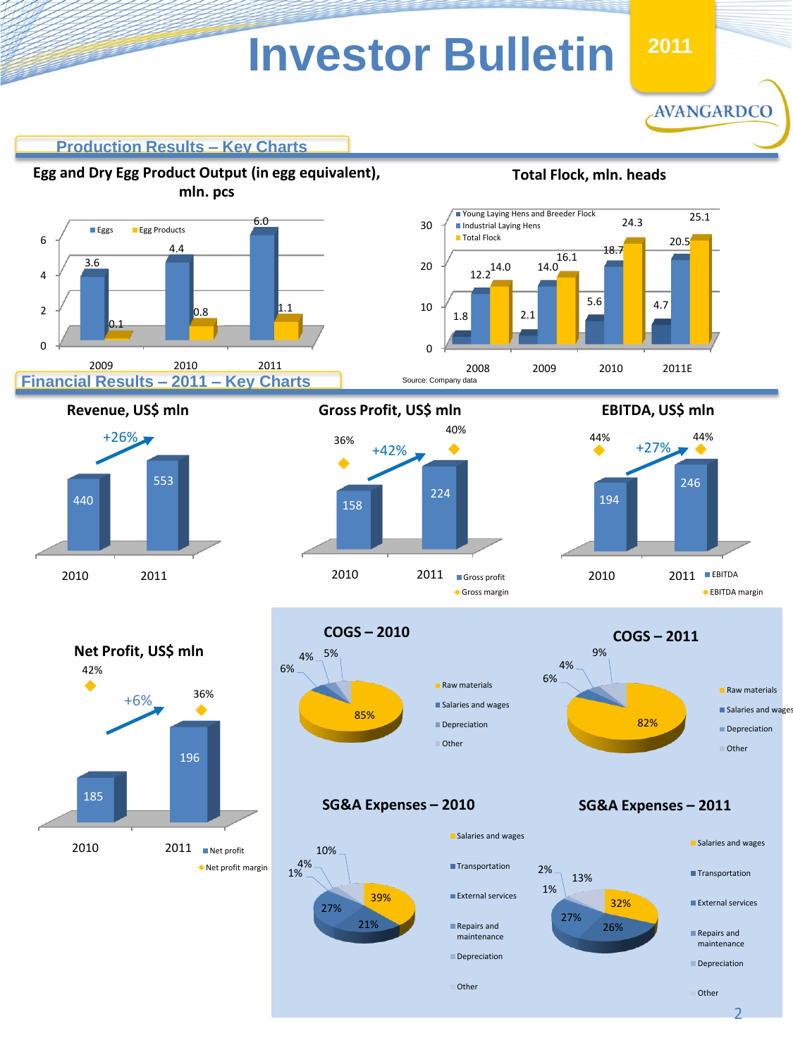**2011 2011**

AVANGARDCO

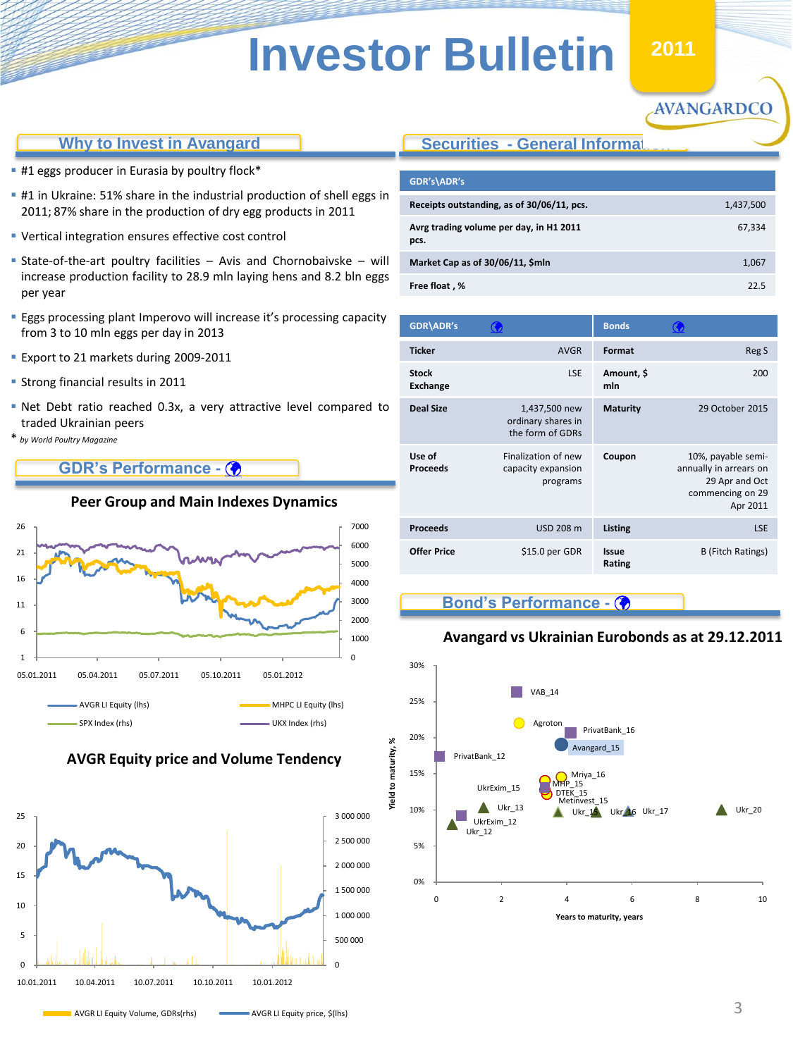# **Why to Invest in Avangard**

- **#1 eggs producer in Eurasia by poultry flock\***
- **#1** in Ukraine: 51% share in the industrial production of shell eggs in 2011; 87% share in the production of dry egg products in 2011
- Vertical integration ensures effective cost control
- State-of-the-art poultry facilities  $-$  Avis and Chornobaivske  $-$  will increase production facility to 28.9 mln laying hens and 8.2 bln eggs per year
- Eggs processing plant Imperovo will increase it's processing capacity from 3 to 10 mln eggs per day in 2013
- **Export to 21 markets during 2009-2011**
- **Strong financial results in 2011**
- Net Debt ratio reached 0.3x, a very attractive level compared to traded Ukrainian peers
- \* *by World Poultry Magazine*

# **GDR's Performance -**



### **AVGR Equity price and Volume Tendency**

<span id="page-2-0"></span>

# **Securities - General Informat**

| GDR's\ADR's                                     |           |
|-------------------------------------------------|-----------|
| Receipts outstanding, as of 30/06/11, pcs.      | 1,437,500 |
| Avrg trading volume per day, in H1 2011<br>pcs. | 67,334    |
| Market Cap as of 30/06/11, \$mln                | 1,067     |
| Free float, %                                   | 22 S      |

**H1 2011**

AVANGARDCO

| <b>GDR\ADR's</b>                | $\mathbf G$                                             | <b>Bonds</b>           |                                                                                                |
|---------------------------------|---------------------------------------------------------|------------------------|------------------------------------------------------------------------------------------------|
| <b>Ticker</b>                   | <b>AVGR</b>                                             | Format                 | Reg S                                                                                          |
| <b>Stock</b><br><b>Exchange</b> | <b>LSE</b>                                              | Amount, \$<br>mln      | 200                                                                                            |
| <b>Deal Size</b>                | 1,437,500 new<br>ordinary shares in<br>the form of GDRs | <b>Maturity</b>        | 29 October 2015                                                                                |
| Use of<br><b>Proceeds</b>       | Finalization of new<br>capacity expansion<br>programs   | Coupon                 | 10%, payable semi-<br>annually in arrears on<br>29 Apr and Oct<br>commencing on 29<br>Apr 2011 |
| <b>Proceeds</b>                 | USD 208 m                                               | Listing                | <b>LSE</b>                                                                                     |
| <b>Offer Price</b>              | \$15.0 per GDR                                          | <b>Issue</b><br>Rating | <b>B</b> (Fitch Ratings)                                                                       |

# **Bond's Performance -**

## **Avangard vs Ukrainian Eurobonds as at 29.12.2011**



# **Peer Group and Main Indexes Dynamics**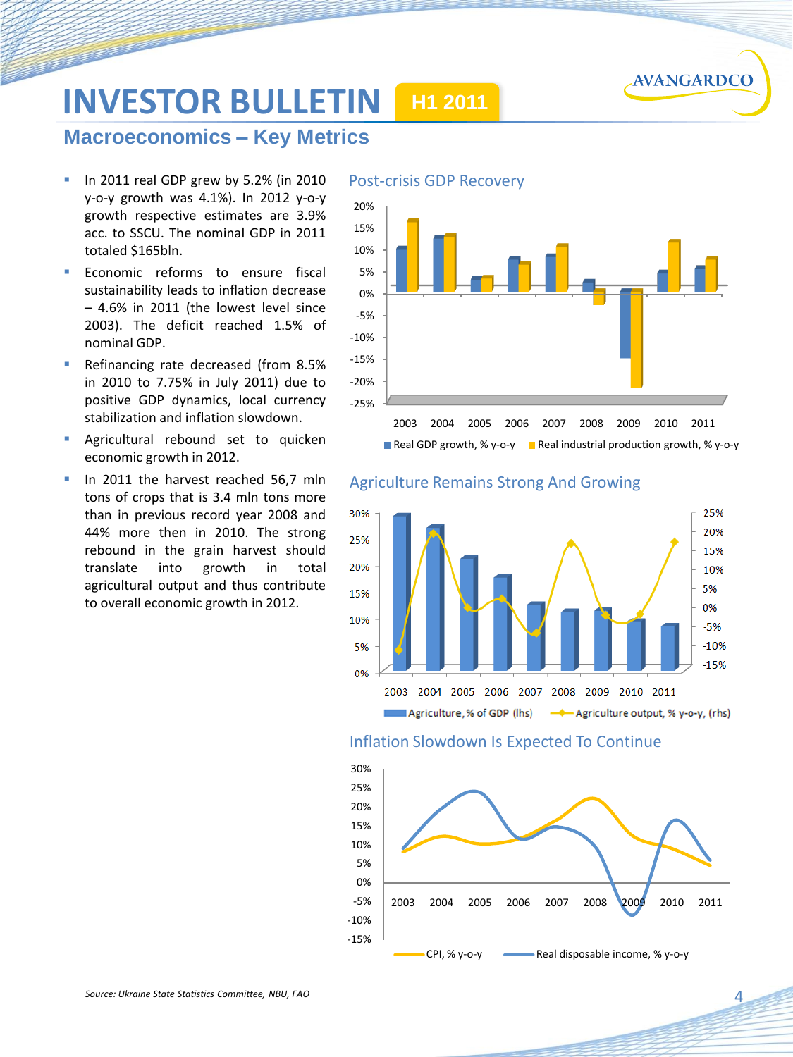

# **INVESTOR BULLETIN H1 2011**

# **Macroeconomics – Key Metrics**

- In 2011 real GDP grew by 5.2% (in 2010 y-o-y growth was 4.1%). In 2012 y-o-y growth respective estimates are 3.9% acc. to SSCU. The nominal GDP in 2011 totaled \$165bln.
- Economic reforms to ensure fiscal sustainability leads to inflation decrease – 4.6% in 2011 (the lowest level since 2003). The deficit reached 1.5% of nominal GDP.
- Refinancing rate decreased (from 8.5% in 2010 to 7.75% in July 2011) due to positive GDP dynamics, local currency stabilization and inflation slowdown.
- Agricultural rebound set to quicken economic growth in 2012.
- In 2011 the harvest reached 56,7 mln tons of crops that is 3.4 mln tons more than in previous record year 2008 and 44% more then in 2010. The strong rebound in the grain harvest should translate into growth in total agricultural output and thus contribute to overall economic growth in 2012.





### Inflation Slowdown Is Expected To Continue

<span id="page-3-0"></span>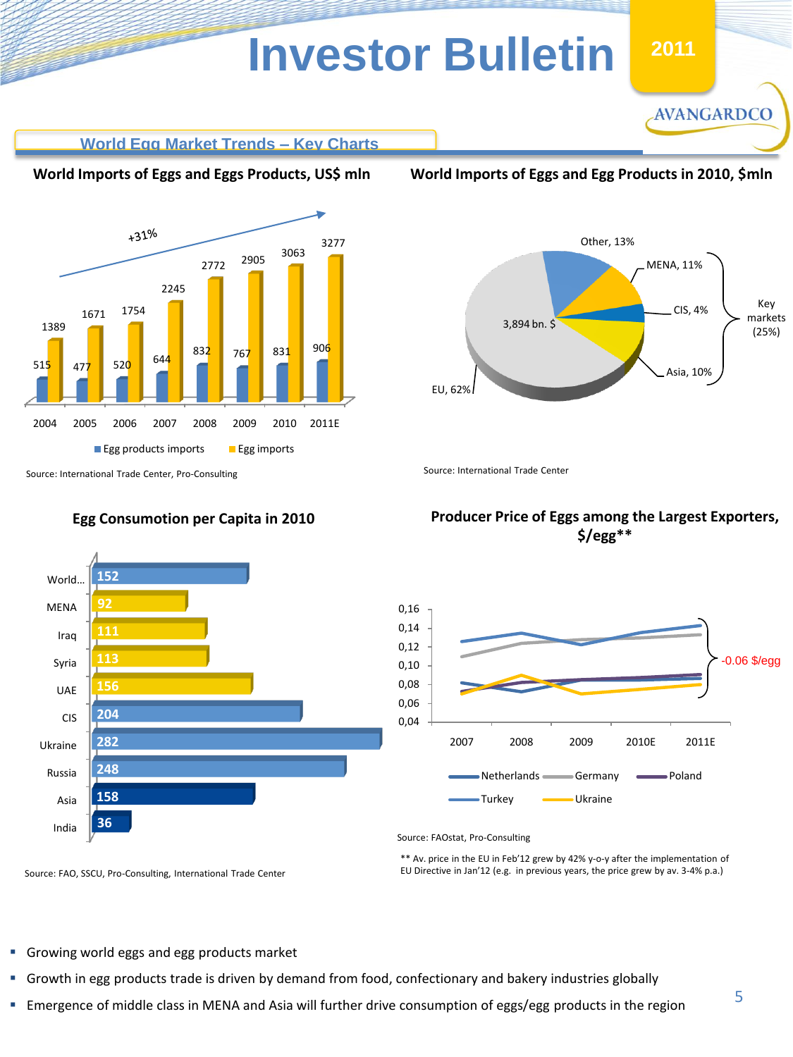



# **World Egg Market Trends – Key Charts**

### **World Imports of Eggs and Eggs Products, US\$ mln**



**World Imports of Eggs and Egg Products in 2010, \$mln**





# **Egg Consumotion per Capita in 2010**

# **Producer Price of Eggs among the Largest Exporters, \$/egg\*\***



Source: FAOstat, Pro-Consulting

\*\* Av. price in the EU in Feb'12 grew by 42% y-o-y after the implementation of EU Directive in Jan'12 (e.g. in previous years, the price grew by av. 3-4% p.a.)

Source: FAO, SSCU, Pro-Consulting, International Trade Center

- Growing world eggs and egg products market
- Growth in egg products trade is driven by demand from food, confectionary and bakery industries globally
- Emergence of middle class in MENA and Asia will further drive consumption of eggs/egg products in the region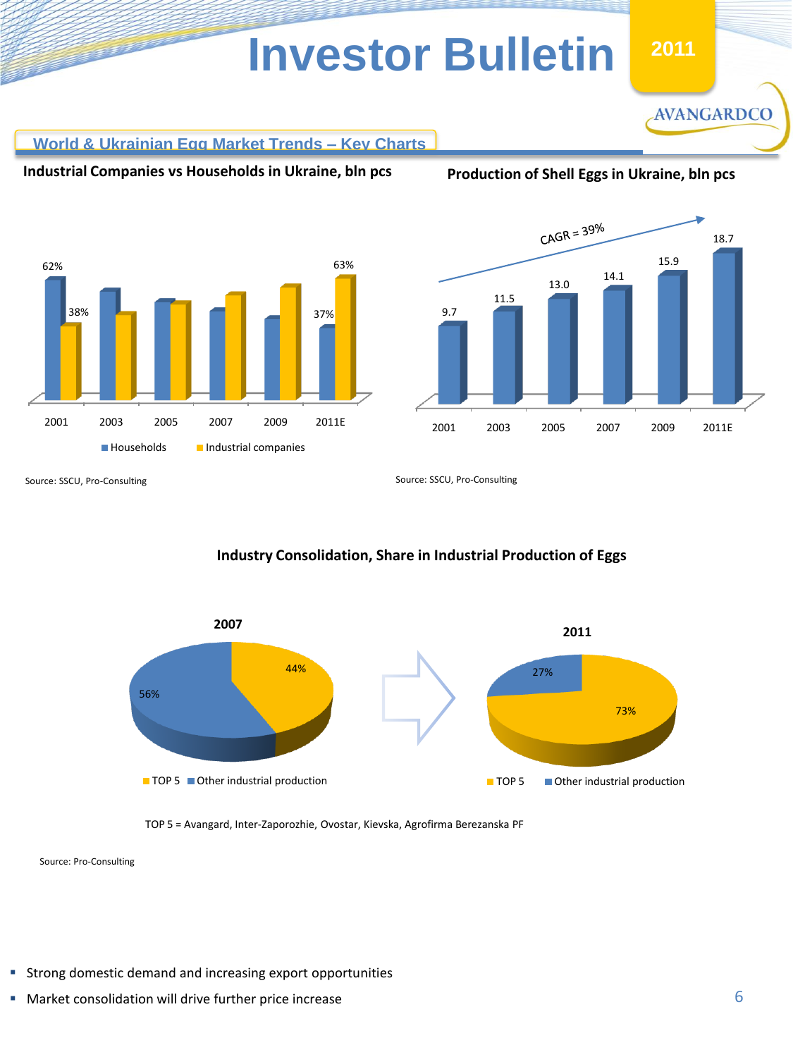**World & Ukrainian Egg Market Trends – Key Charts**

**Industrial Companies vs Households in Ukraine, bln pcs**

**Production of Shell Eggs in Ukraine, bln pcs**

**AVANGARDCO** 





Source: SSCU, Pro-Consulting

Source: SSCU, Pro-Consulting

# **Industry Consolidation, Share in Industrial Production of Eggs**



TOP 5 = Avangard, Inter-Zaporozhie, Ovostar, Kievska, Agrofirma Berezanska PF

Source: Pro-Consulting

- Strong domestic demand and increasing export opportunities
- **Market consolidation will drive further price increase**